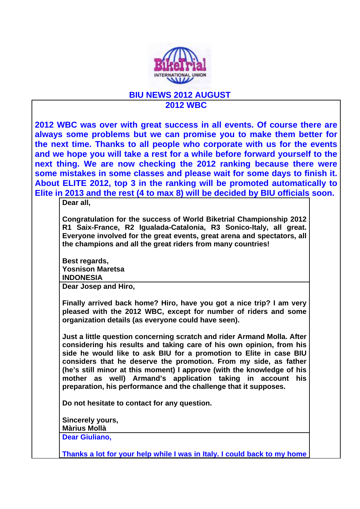

## **BIU NEWS 2012 AUGUST 2012 WBC**

**2012 WBC was over with great success in all events. Of course there are always some problems but we can promise you to make them better for the next time. Thanks to all people who corporate with us for the events and we hope you will take a rest for a while before forward yourself to the next thing. We are now checking the 2012 ranking because there were some mistakes in some classes and please wait for some days to finish it. About ELITE 2012, top 3 in the ranking will be promoted automatically to Elite in 2013 and the rest (4 to max 8) will be decided by BIU officials soon.** 

**Dear all,**

**Congratulation for the success of World Biketrial Championship 2012 R1 Saix-France, R2 Igualada-Catalonia, R3 Sonico-Italy, all great. Everyone involved for the great events, great arena and spectators, all the champions and all the great riders from many countries!**

**Best regards, Yosnison Maretsa INDONESIA**

**Dear Josep and Hiro,**

**Finally arrived back home? Hiro, have you got a nice trip? I am very pleased with the 2012 WBC, except for number of riders and some organization details (as everyone could have seen).**

**Just a little question concerning scratch and rider Armand Molla. After considering his results and taking care of his own opinion, from his side he would like to ask BIU for a promotion to Elite in case BIU considers that he deserve the promotion. From my side, as father (he's still minor at this moment) I approve (with the knowledge of his mother as well) Armand's application taking in account his preparation, his performance and the challenge that it supposes.**

**Do not hesitate to contact for any question.** 

**Sincerely yours, Màrius Mollà**

**Dear Giuliano,**

**Thanks a lot for your help while I was in Italy. I could back to my home**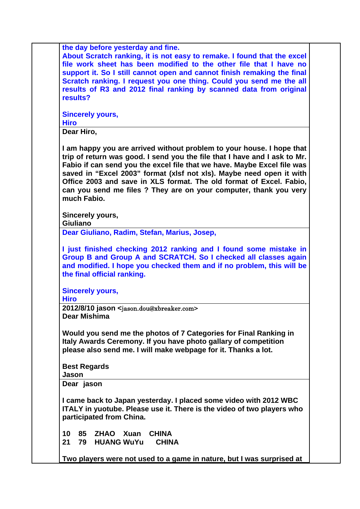|                     | the day before yesterday and fine.                                                                                                                                                                                                                                                                                                                                                                                                                |
|---------------------|---------------------------------------------------------------------------------------------------------------------------------------------------------------------------------------------------------------------------------------------------------------------------------------------------------------------------------------------------------------------------------------------------------------------------------------------------|
|                     | About Scratch ranking, it is not easy to remake. I found that the excel                                                                                                                                                                                                                                                                                                                                                                           |
|                     | file work sheet has been modified to the other file that I have no                                                                                                                                                                                                                                                                                                                                                                                |
|                     | support it. So I still cannot open and cannot finish remaking the final                                                                                                                                                                                                                                                                                                                                                                           |
|                     | Scratch ranking. I request you one thing. Could you send me the all                                                                                                                                                                                                                                                                                                                                                                               |
|                     | results of R3 and 2012 final ranking by scanned data from original                                                                                                                                                                                                                                                                                                                                                                                |
| results?            |                                                                                                                                                                                                                                                                                                                                                                                                                                                   |
|                     | <b>Sincerely yours,</b>                                                                                                                                                                                                                                                                                                                                                                                                                           |
| <b>Hiro</b>         |                                                                                                                                                                                                                                                                                                                                                                                                                                                   |
| Dear Hiro,          |                                                                                                                                                                                                                                                                                                                                                                                                                                                   |
| much Fabio.         | I am happy you are arrived without problem to your house. I hope that<br>trip of return was good. I send you the file that I have and I ask to Mr.<br>Fabio if can send you the excel file that we have. Maybe Excel file was<br>saved in "Excel 2003" format (xlsf not xls). Maybe need open it with<br>Office 2003 and save in XLS format. The old format of Excel. Fabio,<br>can you send me files ? They are on your computer, thank you very |
| Giuliano            | Sincerely yours,                                                                                                                                                                                                                                                                                                                                                                                                                                  |
|                     | Dear Giuliano, Radim, Stefan, Marius, Josep,                                                                                                                                                                                                                                                                                                                                                                                                      |
|                     |                                                                                                                                                                                                                                                                                                                                                                                                                                                   |
|                     | I just finished checking 2012 ranking and I found some mistake in                                                                                                                                                                                                                                                                                                                                                                                 |
|                     | Group B and Group A and SCRATCH. So I checked all classes again                                                                                                                                                                                                                                                                                                                                                                                   |
|                     | and modified. I hope you checked them and if no problem, this will be                                                                                                                                                                                                                                                                                                                                                                             |
|                     | the final official ranking.                                                                                                                                                                                                                                                                                                                                                                                                                       |
|                     | <b>Sincerely yours,</b>                                                                                                                                                                                                                                                                                                                                                                                                                           |
| <b>Hiro</b>         |                                                                                                                                                                                                                                                                                                                                                                                                                                                   |
| Dear Mishima        | 2012/8/10 jason <jason.dou@xbreaker.com></jason.dou@xbreaker.com>                                                                                                                                                                                                                                                                                                                                                                                 |
|                     | Would you send me the photos of 7 Categories for Final Ranking in                                                                                                                                                                                                                                                                                                                                                                                 |
|                     | Italy Awards Ceremony. If you have photo gallary of competition                                                                                                                                                                                                                                                                                                                                                                                   |
|                     | please also send me. I will make webpage for it. Thanks a lot.                                                                                                                                                                                                                                                                                                                                                                                    |
| <b>Best Regards</b> |                                                                                                                                                                                                                                                                                                                                                                                                                                                   |
| Jason               |                                                                                                                                                                                                                                                                                                                                                                                                                                                   |
| Dear jason          |                                                                                                                                                                                                                                                                                                                                                                                                                                                   |
|                     | I came back to Japan yesterday. I placed some video with 2012 WBC                                                                                                                                                                                                                                                                                                                                                                                 |
|                     | ITALY in yuotube. Please use it. There is the video of two players who                                                                                                                                                                                                                                                                                                                                                                            |
|                     | participated from China.                                                                                                                                                                                                                                                                                                                                                                                                                          |
| 10                  | 85 ZHAO<br>Xuan<br><b>CHINA</b>                                                                                                                                                                                                                                                                                                                                                                                                                   |
| 21<br>79            | <b>HUANG WuYu</b><br><b>CHINA</b>                                                                                                                                                                                                                                                                                                                                                                                                                 |
|                     |                                                                                                                                                                                                                                                                                                                                                                                                                                                   |
|                     | Two players were not used to a game in nature, but I was surprised at                                                                                                                                                                                                                                                                                                                                                                             |